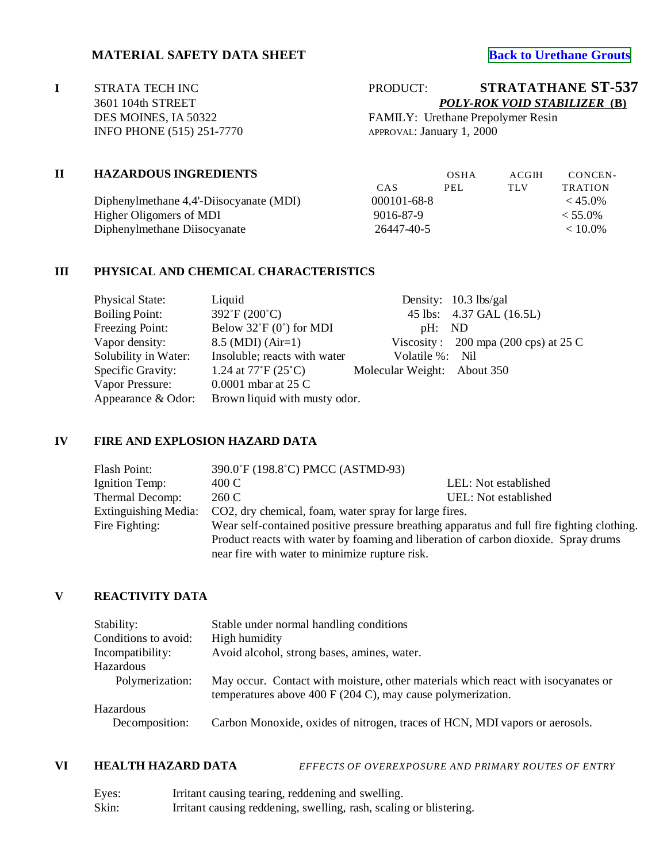# **MATERIAL SAFETY DATA SHEET**<br> **[Back to Urethane Grouts](http://www.strata-tech.com/urethane.html#536)**

**I** STRATA TECH INC P 3601 104th STREET *POLY-ROK VOID STABILIZER* **(B)** INFO PHONE (515) 251-7770

| PRODUCT: | <b>STRATATHANE ST-537</b>    |
|----------|------------------------------|
|          | POLY-ROK VOID STABILIZER (B) |
|          |                              |

DES MOINES, IA 50322 FAMILY: Urethane Prepolymer Resin<br>INFO PHONE (515) 251-7770 APPROVAL: January 1, 2000

| $\mathbf H$ | <b>HAZARDOUS INGREDIENTS</b>            |                   | OSHA | ACGIH | CONCEN-        |
|-------------|-----------------------------------------|-------------------|------|-------|----------------|
|             |                                         | CAS               | PEL  | TLV   | <b>TRATION</b> |
|             | Diphenylmethane 4,4'-Diisocyanate (MDI) | $000101 - 68 - 8$ |      |       | $< 45.0\%$     |
|             | Higher Oligomers of MDI                 | 9016-87-9         |      |       | $< 55.0\%$     |
|             | Diphenylmethane Diisocyanate            | 26447-40-5        |      |       | $< 10.0\%$     |

### **III PHYSICAL AND CHEMICAL CHARACTERISTICS**

| <b>Physical State:</b> | Liquid                                |                             | Density: $10.3$ lbs/gal                        |
|------------------------|---------------------------------------|-----------------------------|------------------------------------------------|
| <b>Boiling Point:</b>  | $392^{\circ}F(200^{\circ}C)$          |                             | 45 lbs: 4.37 GAL (16.5L)                       |
| <b>Freezing Point:</b> | Below $32 \textdegree F$ (0°) for MDI | pH: ND                      |                                                |
| Vapor density:         | $8.5$ (MDI) (Air=1)                   |                             | Viscosity: $200 \text{ mpa}$ (200 cps) at 25 C |
| Solubility in Water:   | Insoluble; reacts with water          | Volatile %: Nil             |                                                |
| Specific Gravity:      | 1.24 at $77^{\circ}F(25^{\circ}C)$    | Molecular Weight: About 350 |                                                |
| Vapor Pressure:        | $0.0001$ mbar at 25 C                 |                             |                                                |
| Appearance & Odor:     | Brown liquid with musty odor.         |                             |                                                |

#### **IV FIRE AND EXPLOSION HAZARD DATA**

| Flash Point:                                                                                                 | 390.0°F (198.8°C) PMCC (ASTMD-93)                     |                      |  |
|--------------------------------------------------------------------------------------------------------------|-------------------------------------------------------|----------------------|--|
| Ignition Temp:                                                                                               | 400 C                                                 | LEL: Not established |  |
| Thermal Decomp:                                                                                              | 260 C                                                 | UEL: Not established |  |
| <b>Extinguishing Media:</b>                                                                                  | CO2, dry chemical, foam, water spray for large fires. |                      |  |
| Wear self-contained positive pressure breathing apparatus and full fire fighting clothing.<br>Fire Fighting: |                                                       |                      |  |
| Product reacts with water by foaming and liberation of carbon dioxide. Spray drums                           |                                                       |                      |  |
|                                                                                                              | near fire with water to minimize rupture risk.        |                      |  |

#### **V REACTIVITY DATA**

| Stability:           | Stable under normal handling conditions                                                                                                          |
|----------------------|--------------------------------------------------------------------------------------------------------------------------------------------------|
| Conditions to avoid: | High humidity                                                                                                                                    |
| Incompatibility:     | Avoid alcohol, strong bases, amines, water.                                                                                                      |
| Hazardous            |                                                                                                                                                  |
| Polymerization:      | May occur. Contact with moisture, other materials which react with isocyanates or<br>temperatures above 400 F (204 C), may cause polymerization. |
| Hazardous            |                                                                                                                                                  |
| Decomposition:       | Carbon Monoxide, oxides of nitrogen, traces of HCN, MDI vapors or aerosols.                                                                      |
|                      |                                                                                                                                                  |

### **VI HEALTH HAZARD DATA** *EFFECTS OF OVEREXPOSURE AND PRIMARY ROUTES OF ENTRY*

| Eyes: | Irritant causing tearing, reddening and swelling.                  |
|-------|--------------------------------------------------------------------|
| Skin: | Irritant causing reddening, swelling, rash, scaling or blistering. |